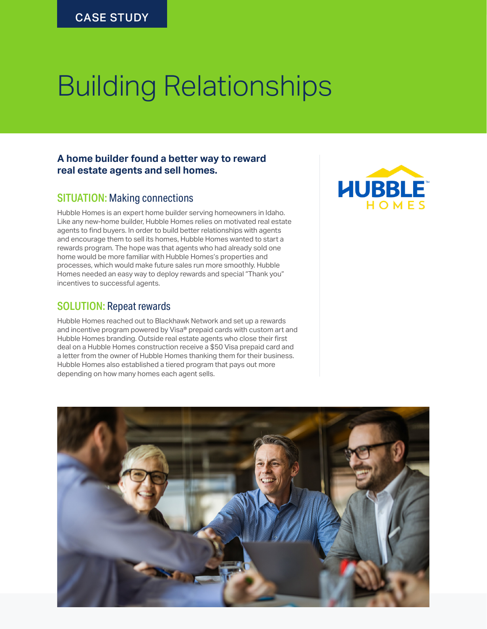# Building Relationships

#### **A home builder found a better way to reward real estate agents and sell homes.**

### SITUATION: Making connections

Hubble Homes is an expert home builder serving homeowners in Idaho. Like any new-home builder, Hubble Homes relies on motivated real estate agents to find buyers. In order to build better relationships with agents and encourage them to sell its homes, Hubble Homes wanted to start a rewards program. The hope was that agents who had already sold one home would be more familiar with Hubble Homes's properties and processes, which would make future sales run more smoothly. Hubble Homes needed an easy way to deploy rewards and special "Thank you" incentives to successful agents.

#### SOLUTION: Repeat rewards

Hubble Homes reached out to Blackhawk Network and set up a rewards and incentive program powered by Visa® prepaid cards with custom art and Hubble Homes branding. Outside real estate agents who close their first deal on a Hubble Homes construction receive a \$50 Visa prepaid card and a letter from the owner of Hubble Homes thanking them for their business. Hubble Homes also established a tiered program that pays out more depending on how many homes each agent sells.